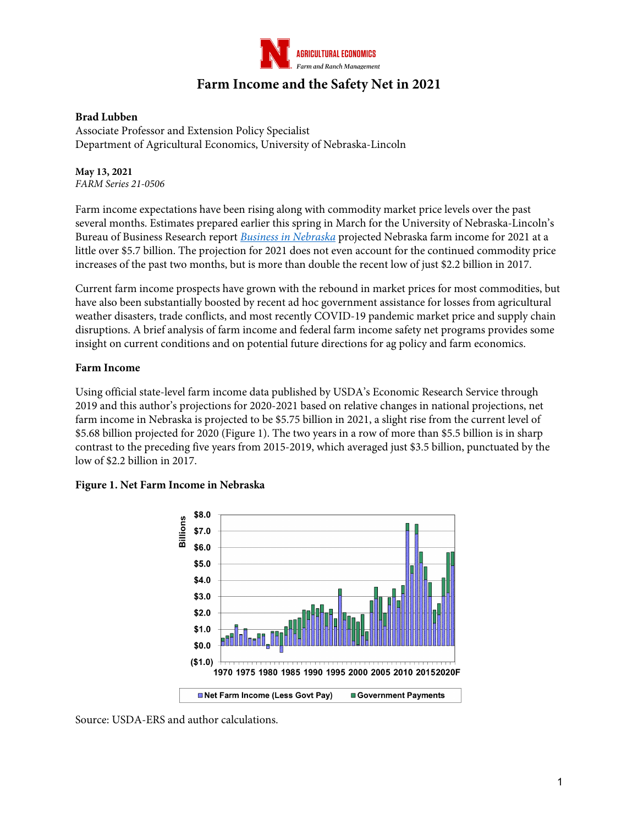

# **Farm Income and the Safety Net in 2021**

#### **Brad Lubben**

Associate Professor and Extension Policy Specialist Department of Agricultural Economics, University of Nebraska-Lincoln

**May 13, 2021** *FARM Series 21-0506*

Farm income expectations have been rising along with commodity market price levels over the past several months. Estimates prepared earlier this spring in March for the University of Nebraska-Lincoln's Bureau of Business Research report *Business in Nebraska* projected Nebraska farm income for 2021 at a little over \$5.7 billion. The projection for 2021 does not even account for the continued commodity price increases of the past two months, but is more than double the recent low of just \$2.2 billion in 2017.

Current farm income prospects have grown with the rebound in market prices for most commodities, but have also been substantially boosted by recent ad hoc government assistance for losses from agricultural weather disasters, trade conflicts, and most recently COVID-19 pandemic market price and supply chain disruptions. A brief analysis of farm income and federal farm income safety net programs provides some insight on current conditions and on potential future directions for ag policy and farm economics.

#### **Farm Income**

Using official state-level farm income data published by USDA's Economic Research Service through 2019 and this author's projections for 2020-2021 based on relative changes in national projections, net farm income in Nebraska is projected to be \$5.75 billion in 2021, a slight rise from the current level of \$5.68 billion projected for 2020 (Figure 1). The two years in a row of more than \$5.5 billion is in sharp contrast to the preceding five years from 2015-2019, which averaged just \$3.5 billion, punctuated by the low of \$2.2 billion in 2017.



#### **Figure 1. Net Farm Income in Nebraska**

Source: USDA-ERS and author calculations.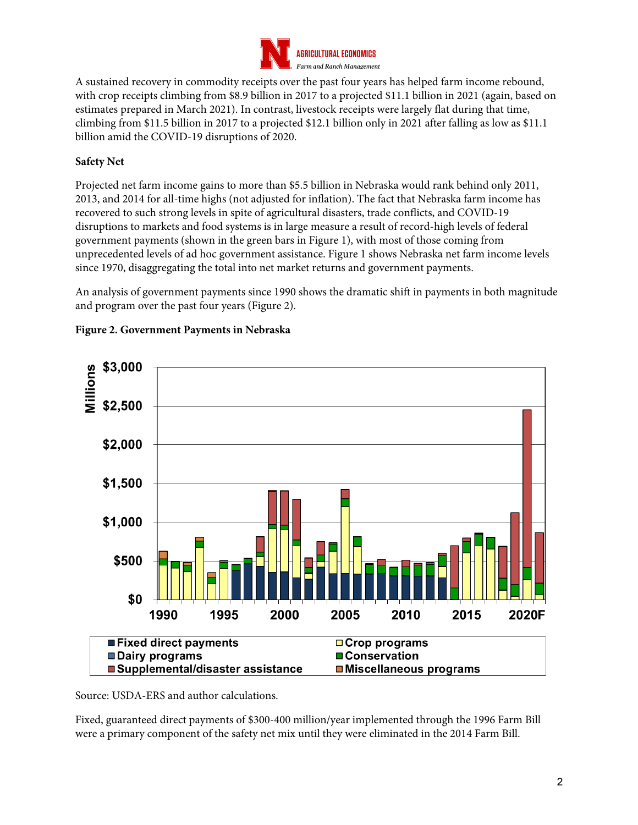

A sustained recovery in commodity receipts over the past four years has helped farm income rebound, with crop receipts climbing from \$8.9 billion in 2017 to a projected \$11.1 billion in 2021 (again, based on estimates prepared in March 2021). In contrast, livestock receipts were largely flat during that time, climbing from \$11.5 billion in 2017 to a projected \$12.1 billion only in 2021 after falling as low as \$11.1 billion amid the COVID-19 disruptions of 2020.

# **Safety Net**

Projected net farm income gains to more than \$5.5 billion in Nebraska would rank behind only 2011, 2013, and 2014 for all-time highs (not adjusted for inflation). The fact that Nebraska farm income has recovered to such strong levels in spite of agricultural disasters, trade conflicts, and COVID-19 disruptions to markets and food systems is in large measure a result of record-high levels of federal government payments (shown in the green bars in Figure 1), with most of those coming from unprecedented levels of ad hoc government assistance. Figure 1 shows Nebraska net farm income levels since 1970, disaggregating the total into net market returns and government payments.

An analysis of government payments since 1990 shows the dramatic shift in payments in both magnitude and program over the past four years (Figure 2).



## **Figure 2. Government Payments in Nebraska**

Source: USDA-ERS and author calculations.

Fixed, guaranteed direct payments of \$300-400 million/year implemented through the 1996 Farm Bill were a primary component of the safety net mix until they were eliminated in the 2014 Farm Bill.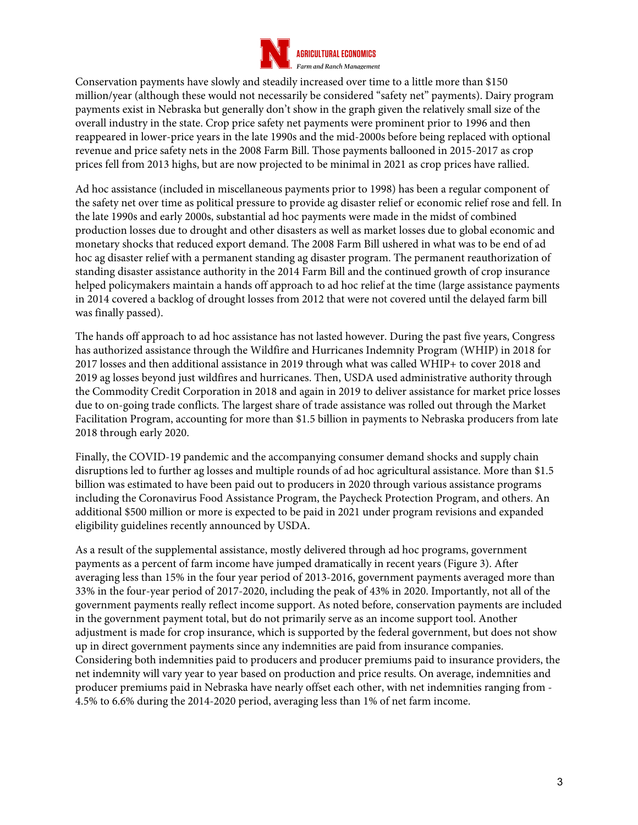

Conservation payments have slowly and steadily increased over time to a little more than \$150 million/year (although these would not necessarily be considered "safety net" payments). Dairy program payments exist in Nebraska but generally don't show in the graph given the relatively small size of the overall industry in the state. Crop price safety net payments were prominent prior to 1996 and then reappeared in lower-price years in the late 1990s and the mid-2000s before being replaced with optional revenue and price safety nets in the 2008 Farm Bill. Those payments ballooned in 2015-2017 as crop prices fell from 2013 highs, but are now projected to be minimal in 2021 as crop prices have rallied.

Ad hoc assistance (included in miscellaneous payments prior to 1998) has been a regular component of the safety net over time as political pressure to provide ag disaster relief or economic relief rose and fell. In the late 1990s and early 2000s, substantial ad hoc payments were made in the midst of combined production losses due to drought and other disasters as well as market losses due to global economic and monetary shocks that reduced export demand. The 2008 Farm Bill ushered in what was to be end of ad hoc ag disaster relief with a permanent standing ag disaster program. The permanent reauthorization of standing disaster assistance authority in the 2014 Farm Bill and the continued growth of crop insurance helped policymakers maintain a hands off approach to ad hoc relief at the time (large assistance payments in 2014 covered a backlog of drought losses from 2012 that were not covered until the delayed farm bill was finally passed).

The hands off approach to ad hoc assistance has not lasted however. During the past five years, Congress has authorized assistance through the Wildfire and Hurricanes Indemnity Program (WHIP) in 2018 for 2017 losses and then additional assistance in 2019 through what was called WHIP+ to cover 2018 and 2019 ag losses beyond just wildfires and hurricanes. Then, USDA used administrative authority through the Commodity Credit Corporation in 2018 and again in 2019 to deliver assistance for market price losses due to on-going trade conflicts. The largest share of trade assistance was rolled out through the Market Facilitation Program, accounting for more than \$1.5 billion in payments to Nebraska producers from late 2018 through early 2020.

Finally, the COVID-19 pandemic and the accompanying consumer demand shocks and supply chain disruptions led to further ag losses and multiple rounds of ad hoc agricultural assistance. More than \$1.5 billion was estimated to have been paid out to producers in 2020 through various assistance programs including the Coronavirus Food Assistance Program, the Paycheck Protection Program, and others. An additional \$500 million or more is expected to be paid in 2021 under program revisions and expanded eligibility guidelines recently announced by USDA.

As a result of the supplemental assistance, mostly delivered through ad hoc programs, government payments as a percent of farm income have jumped dramatically in recent years (Figure 3). After averaging less than 15% in the four year period of 2013-2016, government payments averaged more than 33% in the four-year period of 2017-2020, including the peak of 43% in 2020. Importantly, not all of the government payments really reflect income support. As noted before, conservation payments are included in the government payment total, but do not primarily serve as an income support tool. Another adjustment is made for crop insurance, which is supported by the federal government, but does not show up in direct government payments since any indemnities are paid from insurance companies. Considering both indemnities paid to producers and producer premiums paid to insurance providers, the net indemnity will vary year to year based on production and price results. On average, indemnities and producer premiums paid in Nebraska have nearly offset each other, with net indemnities ranging from - 4.5% to 6.6% during the 2014-2020 period, averaging less than 1% of net farm income.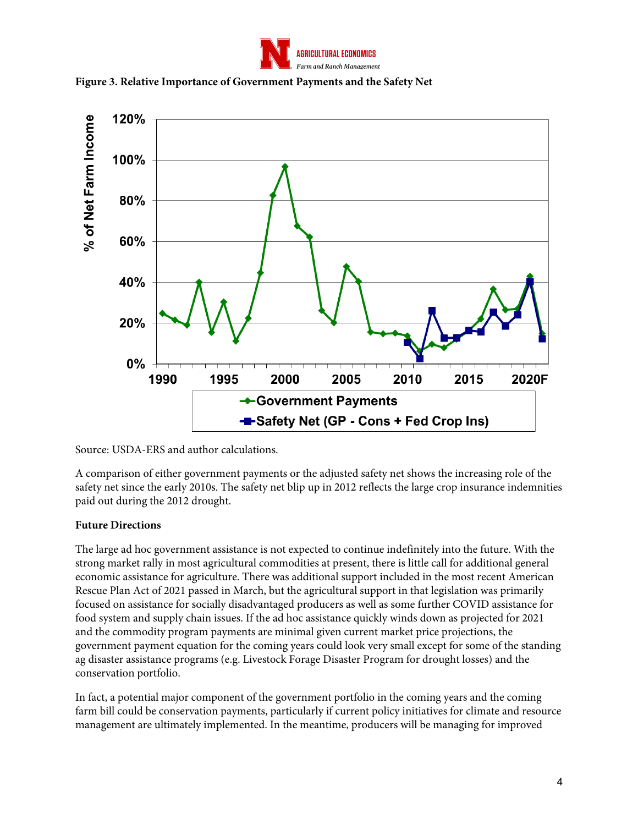





Source: USDA-ERS and author calculations.

A comparison of either government payments or the adjusted safety net shows the increasing role of the safety net since the early 2010s. The safety net blip up in 2012 reflects the large crop insurance indemnities paid out during the 2012 drought.

## **Future Directions**

The large ad hoc government assistance is not expected to continue indefinitely into the future. With the strong market rally in most agricultural commodities at present, there is little call for additional general economic assistance for agriculture. There was additional support included in the most recent American Rescue Plan Act of 2021 passed in March, but the agricultural support in that legislation was primarily focused on assistance for socially disadvantaged producers as well as some further COVID assistance for food system and supply chain issues. If the ad hoc assistance quickly winds down as projected for 2021 and the commodity program payments are minimal given current market price projections, the government payment equation for the coming years could look very small except for some of the standing ag disaster assistance programs (e.g. Livestock Forage Disaster Program for drought losses) and the conservation portfolio.

In fact, a potential major component of the government portfolio in the coming years and the coming farm bill could be conservation payments, particularly if current policy initiatives for climate and resource management are ultimately implemented. In the meantime, producers will be managing for improved